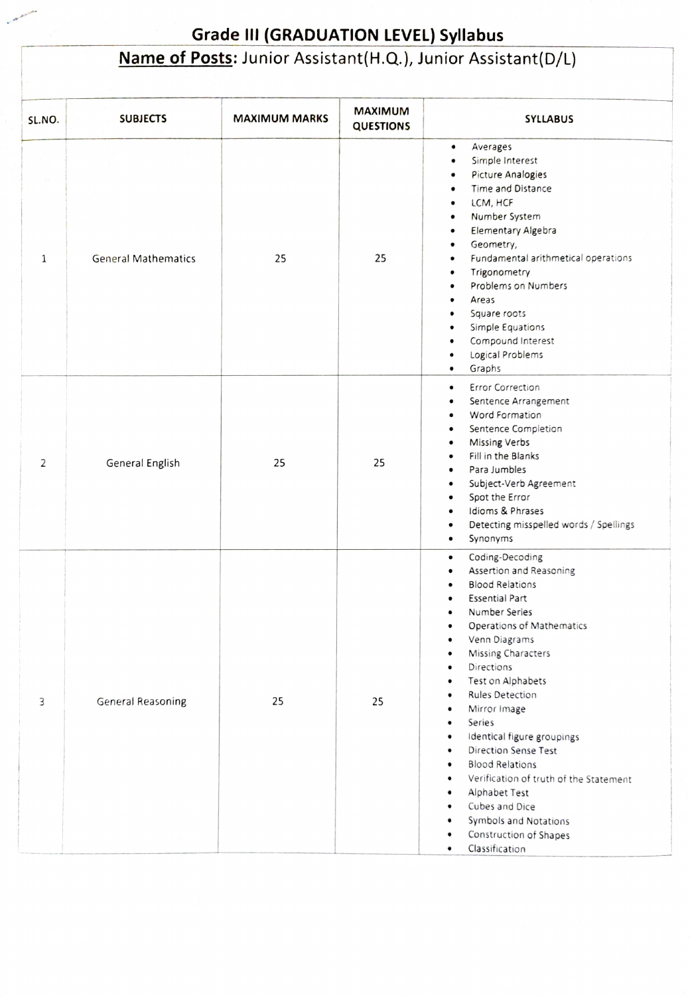## Grade III (GRADUATION LEVEL) Syllabus<br>Name of Posts: Junior Assistant(H.Q.), Junior Assistant(D/L)

| SL.NO. | <b>SUBJECTS</b>            | <b>MAXIMUM MARKS</b> | <b>MAXIMUM</b><br><b>QUESTIONS</b> | <b>SYLLABUS</b>                                                                                                                                                                                                                                                                                                                                                                                                                                                                                                                                                                                                                                                            |
|--------|----------------------------|----------------------|------------------------------------|----------------------------------------------------------------------------------------------------------------------------------------------------------------------------------------------------------------------------------------------------------------------------------------------------------------------------------------------------------------------------------------------------------------------------------------------------------------------------------------------------------------------------------------------------------------------------------------------------------------------------------------------------------------------------|
| 1      | <b>General Mathematics</b> | 25                   | 25                                 | Averages<br>٠<br>Simple Interest<br>$\bullet$<br>Picture Analogies<br>$\bullet$<br>Time and Distance<br>$\bullet$<br>LCM, HCF<br>۰<br>Number System<br>$\bullet$<br>Elementary Algebra<br>$\bullet$<br>Geometry,<br>٠<br>Fundamental arithmetical operations<br>$\bullet$<br>Trigonometry<br>$\bullet$<br>Problems on Numbers<br>$\bullet$<br>Areas<br>$\bullet$<br>Square roots<br>$\bullet$<br>Simple Equations<br>$\bullet$<br>Compound Interest<br>$\bullet$<br>Logical Problems<br>$\bullet$<br>Graphs<br>$\bullet$                                                                                                                                                   |
| 2      | General English            | 25                   | 25                                 | <b>Error Correction</b><br>$\bullet$<br>Sentence Arrangement<br>$\bullet$<br>Word Formation<br>$\bullet$<br>Sentence Completion<br>$\bullet$<br>Missing Verbs<br>$\bullet$<br>Fill in the Blanks<br>$\bullet$<br>Para Jumbles<br>$\bullet$<br>Subject-Verb Agreement<br>$\bullet$<br>Spot the Error<br>$\bullet$<br>Idioms & Phrases<br>$\bullet$<br>Detecting misspelled words / Spellings<br>$\bullet$<br>Synonyms<br>$\bullet$                                                                                                                                                                                                                                          |
| 3      | <b>General Reasoning</b>   | 25                   | 25                                 | Coding-Decoding<br>$\bullet$<br>Assertion and Reasoning<br><b>Blood Relations</b><br>Essential Part<br>Number Series<br>Operations of Mathematics<br>$\bullet$<br>Venn Diagrams<br>Missing Characters<br>٠<br>Directions<br>$\bullet$<br>Test on Alphabets<br>$\bullet$<br>Rules Detection<br>$\bullet$<br>Mirror Image<br>$\bullet$<br>Series<br>٠<br>Identical figure groupings<br>$\bullet$<br>Direction Sense Test<br>$\bullet$<br><b>Blood Relations</b><br>$\bullet$<br>Verification of truth of the Statement<br>$\bullet$<br>Alphabet Test<br>٠<br>Cubes and Dice<br>$\bullet$<br>Symbols and Notations<br>٠<br>Construction of Shapes<br>٠<br>Classification<br>۰ |